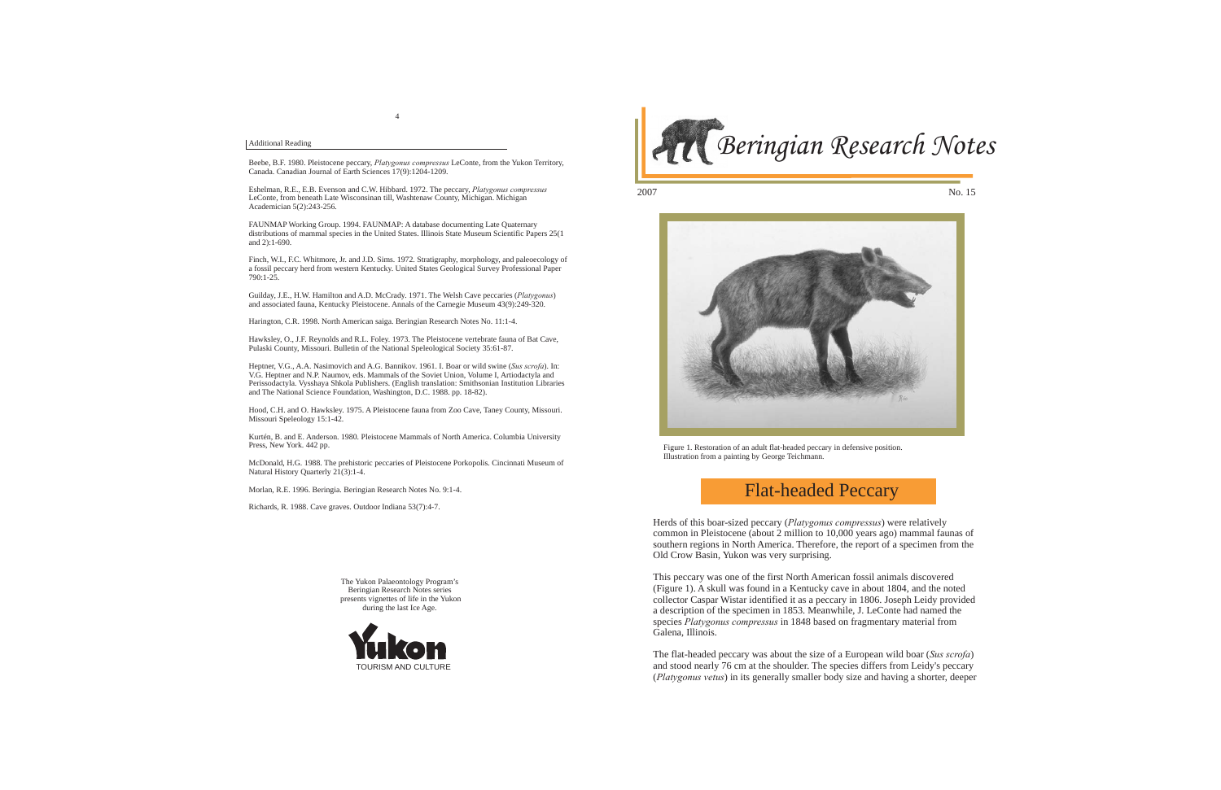

The Yukon Palaeontology Program's Beringian Research Notes series presents vignettes of life in the Yukon during the last Ice Age.



2007



## Flat-headed Peccary

Herds of this boar-sized peccary (*Platygonus compressus*) were relatively common in Pleistocene (about 2 million to 10,000 years ago) mammal faunas of southern regions in North America. Therefore, the report of a specimen from the Old Crow Basin, Yukon was very surprising.

This peccary was one of the first North American fossil animals discovered (Figure 1). A skull was found in a Kentucky cave in about 1804, and the noted collector Caspar Wistar identified it as a peccary in 1806. Joseph Leidy provided a description of the specimen in 1853. Meanwhile, J. LeConte had named the species *Platygonus compressus* in 1848 based on fragmentary material from Galena, Illinois.

The flat-headed peccary was about the size of a European wild boar (*Sus scrofa*) and stood nearly 76 cm at the shoulder. The species differs from Leidy's peccary (*Platygonus vetus*) in its generally smaller body size and having a shorter, deeper

Figure 1. Restoration of an adult flat-headed peccary in defensive position. Illustration from a painting by George Teichmann.

## Additional Reading

Beebe, B.F. 1980. Pleistocene peccary, *Platygonus compressus* LeConte, from the Yukon Territory, Canada. Canadian Journal of Earth Sciences 17(9):1204-1209.

Eshelman, R.E., E.B. Evenson and C.W. Hibbard. 1972. The peccary, *Platygonus compressus* LeConte, from beneath Late Wisconsinan till, Washtenaw County, Michigan. Michigan Academician 5(2):243-256.

FAUNMAP Working Group. 1994. FAUNMAP: A database documenting Late Quaternary distributions of mammal species in the United States. Illinois State Museum Scientific Papers 25(1 and 2):1-690.

Finch, W.I., F.C. Whitmore, Jr. and J.D. Sims. 1972. Stratigraphy, morphology, and paleoecology of a fossil peccary herd from western Kentucky. United States Geological Survey Professional Paper 790:1-25.

Guilday, J.E., H.W. Hamilton and A.D. McCrady. 1971. The Welsh Cave peccaries (*Platygonus*) and associated fauna, Kentucky Pleistocene. Annals of the Carnegie Museum 43(9):249-320.

Harington, C.R. 1998. North American saiga. Beringian Research Notes No. 11:1-4.

Hawksley, O., J.F. Reynolds and R.L. Foley. 1973. The Pleistocene vertebrate fauna of Bat Cave, Pulaski County, Missouri. Bulletin of the National Speleological Society 35:61-87.

Heptner, V.G., A.A. Nasimovich and A.G. Bannikov. 1961. I. Boar or wild swine (*Sus scrofa*). In: V.G. Heptner and N.P. Naumov, eds. Mammals of the Soviet Union, Volume I, Artiodactyla and Perissodactyla. Vysshaya Shkola Publishers. (English translation: Smithsonian Institution Libraries and The National Science Foundation, Washington, D.C. 1988. pp. 18-82).

Hood, C.H. and O. Hawksley. 1975. A Pleistocene fauna from Zoo Cave, Taney County, Missouri. Missouri Speleology 15:1-42.

Kurtén, B. and E. Anderson. 1980. Pleistocene Mammals of North America. Columbia University Press, New York. 442 pp.

McDonald, H.G. 1988. The prehistoric peccaries of Pleistocene Porkopolis. Cincinnati Museum of Natural History Quarterly 21(3):1-4.

Morlan, R.E. 1996. Beringia. Beringian Research Notes No. 9:1-4.

Richards, R. 1988. Cave graves. Outdoor Indiana 53(7):4-7.

No. 15

4